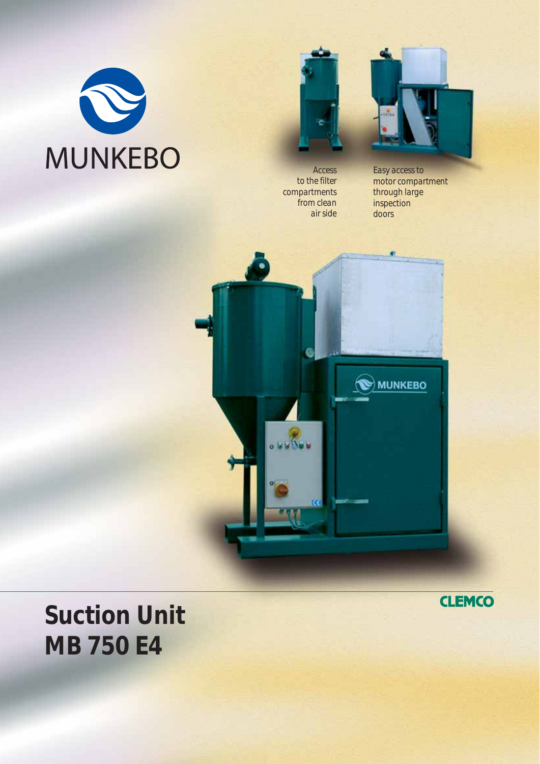



*Access to the filter compartments from clean air side*



*Easy access to motor compartment through large inspection doors*



**Suction Unit MB 750 E4**